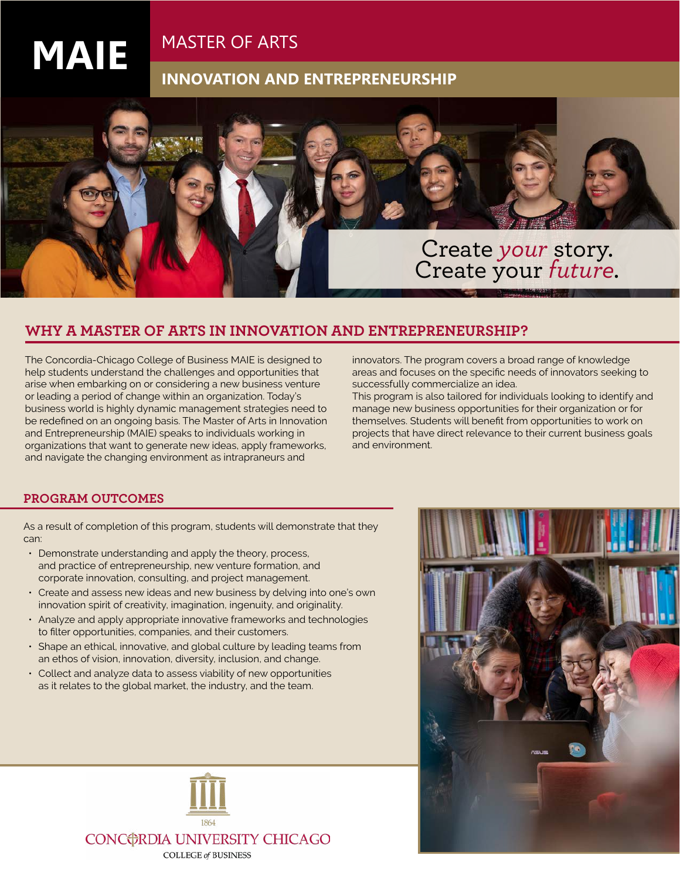## MASTER OF ARTS

## **INNOVATION AND ENTREPRENEURSHIP**



### **WHY A MASTER OF ARTS IN INNOVATION AND ENTREPRENEURSHIP?**

The Concordia-Chicago College of Business MAIE is designed to help students understand the challenges and opportunities that arise when embarking on or considering a new business venture or leading a period of change within an organization. Today's business world is highly dynamic management strategies need to be redefined on an ongoing basis. The Master of Arts in Innovation and Entrepreneurship (MAIE) speaks to individuals working in organizations that want to generate new ideas, apply frameworks, and navigate the changing environment as intrapraneurs and

innovators. The program covers a broad range of knowledge areas and focuses on the specific needs of innovators seeking to successfully commercialize an idea.

This program is also tailored for individuals looking to identify and manage new business opportunities for their organization or for themselves. Students will benefit from opportunities to work on projects that have direct relevance to their current business goals and environment.

### **PROGRAM OUTCOMES**

**MAIE**

As a result of completion of this program, students will demonstrate that they can:

- Demonstrate understanding and apply the theory, process, and practice of entrepreneurship, new venture formation, and corporate innovation, consulting, and project management.
- Create and assess new ideas and new business by delving into one's own innovation spirit of creativity, imagination, ingenuity, and originality.
- Analyze and apply appropriate innovative frameworks and technologies to filter opportunities, companies, and their customers.
- Shape an ethical, innovative, and global culture by leading teams from an ethos of vision, innovation, diversity, inclusion, and change.
- Collect and analyze data to assess viability of new opportunities as it relates to the global market, the industry, and the team.